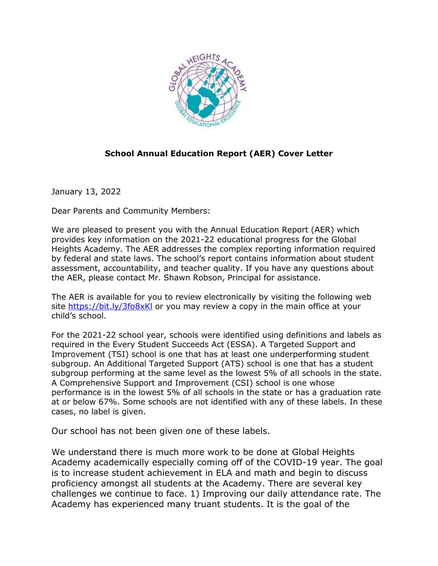

# **School Annual Education Report (AER) Cover Letter**

January 13, 2022

Dear Parents and Community Members:

We are pleased to present you with the Annual Education Report (AER) which provides key information on the 2021-22 educational progress for the Global Heights Academy. The AER addresses the complex reporting information required by federal and state laws. The school's report contains information about student assessment, accountability, and teacher quality. If you have any questions about the AER, please contact Mr. Shawn Robson, Principal for assistance.

The AER is available for you to review electronically by visiting the following web site<https://bit.ly/3fo8xKl> or you may review a copy in the main office at your child's school.

For the 2021-22 school year, schools were identified using definitions and labels as required in the Every Student Succeeds Act (ESSA). A Targeted Support and Improvement (TSI) school is one that has at least one underperforming student subgroup. An Additional Targeted Support (ATS) school is one that has a student subgroup performing at the same level as the lowest 5% of all schools in the state. A Comprehensive Support and Improvement (CSI) school is one whose performance is in the lowest 5% of all schools in the state or has a graduation rate at or below 67%. Some schools are not identified with any of these labels. In these cases, no label is given.

Our school has not been given one of these labels.

We understand there is much more work to be done at Global Heights Academy academically especially coming off of the COVID-19 year. The goal is to increase student achievement in ELA and math and begin to discuss proficiency amongst all students at the Academy. There are several key challenges we continue to face. 1) Improving our daily attendance rate. The Academy has experienced many truant students. It is the goal of the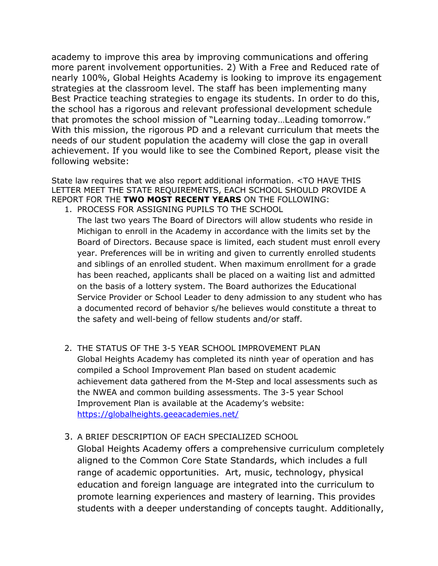academy to improve this area by improving communications and offering more parent involvement opportunities. 2) With a Free and Reduced rate of nearly 100%, Global Heights Academy is looking to improve its engagement strategies at the classroom level. The staff has been implementing many Best Practice teaching strategies to engage its students. In order to do this, the school has a rigorous and relevant professional development schedule that promotes the school mission of "Learning today…Leading tomorrow." With this mission, the rigorous PD and a relevant curriculum that meets the needs of our student population the academy will close the gap in overall achievement. If you would like to see the Combined Report, please visit the following website:

State law requires that we also report additional information. <TO HAVE THIS LETTER MEET THE STATE REQUIREMENTS, EACH SCHOOL SHOULD PROVIDE A REPORT FOR THE **TWO MOST RECENT YEARS** ON THE FOLLOWING: 1. PROCESS FOR ASSIGNING PUPILS TO THE SCHOOL

The last two years The Board of Directors will allow students who reside in Michigan to enroll in the Academy in accordance with the limits set by the Board of Directors. Because space is limited, each student must enroll every year. Preferences will be in writing and given to currently enrolled students and siblings of an enrolled student. When maximum enrollment for a grade has been reached, applicants shall be placed on a waiting list and admitted on the basis of a lottery system. The Board authorizes the Educational Service Provider or School Leader to deny admission to any student who has a documented record of behavior s/he believes would constitute a threat to the safety and well-being of fellow students and/or staff.

- 2. THE STATUS OF THE 3-5 YEAR SCHOOL IMPROVEMENT PLAN Global Heights Academy has completed its ninth year of operation and has compiled a School Improvement Plan based on student academic achievement data gathered from the M-Step and local assessments such as the NWEA and common building assessments. The 3-5 year School Improvement Plan is available at the Academy's website: <https://globalheights.geeacademies.net/>
- 3. A BRIEF DESCRIPTION OF EACH SPECIALIZED SCHOOL

Global Heights Academy offers a comprehensive curriculum completely aligned to the Common Core State Standards, which includes a full range of academic opportunities. Art, music, technology, physical education and foreign language are integrated into the curriculum to promote learning experiences and mastery of learning. This provides students with a deeper understanding of concepts taught. Additionally,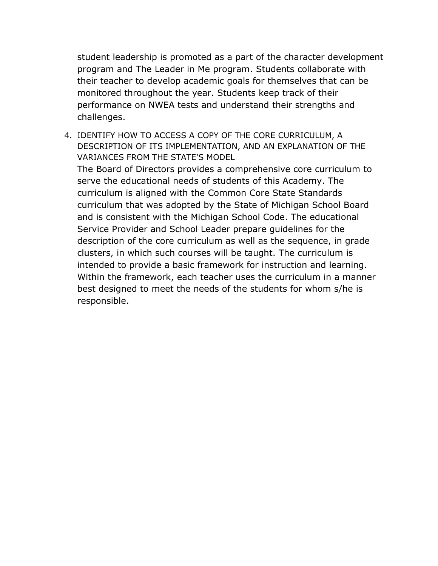student leadership is promoted as a part of the character development program and The Leader in Me program. Students collaborate with their teacher to develop academic goals for themselves that can be monitored throughout the year. Students keep track of their performance on NWEA tests and understand their strengths and challenges.

4. IDENTIFY HOW TO ACCESS A COPY OF THE CORE CURRICULUM, A DESCRIPTION OF ITS IMPLEMENTATION, AND AN EXPLANATION OF THE VARIANCES FROM THE STATE'S MODEL

The Board of Directors provides a comprehensive core curriculum to serve the educational needs of students of this Academy. The curriculum is aligned with the Common Core State Standards curriculum that was adopted by the State of Michigan School Board and is consistent with the Michigan School Code. The educational Service Provider and School Leader prepare guidelines for the description of the core curriculum as well as the sequence, in grade clusters, in which such courses will be taught. The curriculum is intended to provide a basic framework for instruction and learning. Within the framework, each teacher uses the curriculum in a manner best designed to meet the needs of the students for whom s/he is responsible.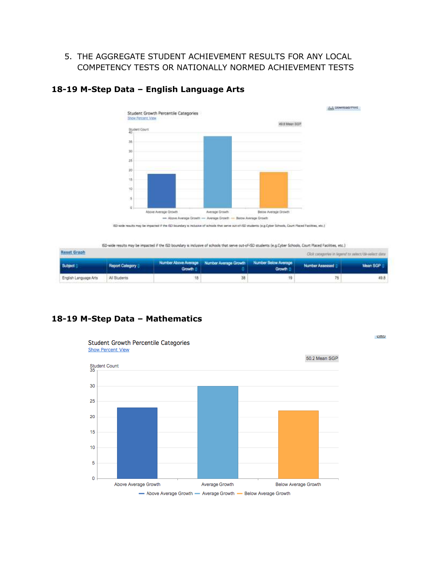### 5. THE AGGREGATE STUDENT ACHIEVEMENT RESULTS FOR ANY LOCAL COMPETENCY TESTS OR NATIONALLY NORMED ACHIEVEMENT TESTS



# **18-19 M-Step Data – English Language Arts**

ISD-wide results may be impacted if the ISD boundary is inclusive of schools that serve out-of-ISD students (e.g.Cyber Schools, Court Placed Facilities, etc.)

| Reset Graph<br>Click capagames in Normal to ashect/39-select data |                 |                 |                                                                     |        |                 |          |  |  |  |  |
|-------------------------------------------------------------------|-----------------|-----------------|---------------------------------------------------------------------|--------|-----------------|----------|--|--|--|--|
| <b>Subject</b>                                                    | Report Category | Growth $\oplus$ | Number Above Average   Number Average Growth   Number Below Average | Growth | Number Assessed | Maan SGP |  |  |  |  |
| English Language Arts                                             | All Students    |                 | 36                                                                  | 19     |                 | 49.8     |  |  |  |  |

س

# **18-19 M-Step Data – Mathematics**



**Student Growth Percentile Categories Show Percent View**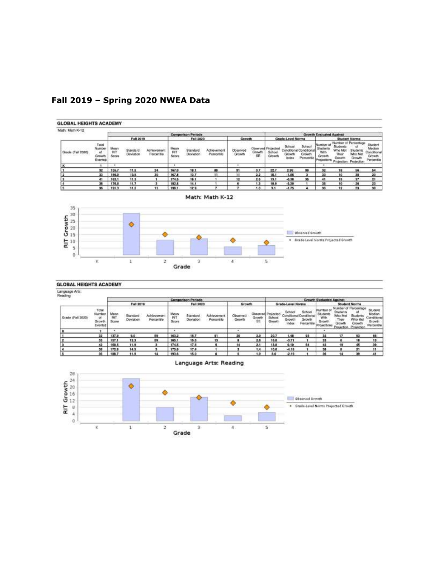

# **Fall 2019 – Spring 2020 NWEA Data**

#### Math: Math K-12 35 RIT Growth<br> $\frac{1}{9}$  is it is it  $\ddot{\bullet}$ Disarved Growth ۵ \* Srade-Level Norms Projected Granth ٥  $\sf s$ ö  $\overline{\phantom{a}}$  $\overline{2}$  $\bar{a}$  $\mathbbm{E}$ X  $\overline{3}$ Grade

#### **GLOBAL HEIGHTS ACADEMY**

Language Arts:

| eading            |                                            |                             |                       |                           |                                                            |                       |                           |                    |                                  |                               |                                                    |                                |                                                       |                                                       |                                                                                 |                                                         |
|-------------------|--------------------------------------------|-----------------------------|-----------------------|---------------------------|------------------------------------------------------------|-----------------------|---------------------------|--------------------|----------------------------------|-------------------------------|----------------------------------------------------|--------------------------------|-------------------------------------------------------|-------------------------------------------------------|---------------------------------------------------------------------------------|---------------------------------------------------------|
|                   |                                            |                             |                       |                           | <b>Comparison Periods</b><br><b><i><u>Property</u></i></b> |                       |                           |                    | <b>Growth Evaluated Against</b>  |                               |                                                    |                                |                                                       |                                                       |                                                                                 |                                                         |
|                   | Fall 2019                                  |                             |                       | Fall 2020                 |                                                            | Growth                |                           | Grade-Level Norms  |                                  |                               | Student Norms                                      |                                |                                                       |                                                       |                                                                                 |                                                         |
| Grade (Fall 2020) | Total<br>Number<br>аł<br>Growth<br>Eventet | Mean<br><b>BIT</b><br>Score | Standard<br>Deviation | Achievement<br>Percentile | Mean<br>PaT<br>Scon                                        | Standard<br>Deviation | Achievement<br>Percentile | Observed<br>Growth | <b>Closerved</b><br>Growth<br>SE | Рторестес<br>School<br>Growth | School<br>Conditional Condition<br>Growth<br>Index | School<br>Growth<br>Parcentile | Mumber of<br>Student<br>With<br>Growth<br>Projections | Studients<br>Who Me<br>Their<br>Growth<br><b>Pros</b> | Number of Percentage<br>a<br><b>Students</b><br>Who Met<br>Growth<br>Projection | Student<br>Median<br>Gonditiona<br>Growth<br>Percentile |
|                   |                                            |                             |                       |                           | $\cdot$                                                    |                       |                           |                    |                                  |                               | $-11 - 16$                                         |                                |                                                       |                                                       |                                                                                 |                                                         |
|                   | 32                                         | 137.9                       | 9.0                   | 59                        | 163.2                                                      | 15.7                  | ת                         | 25                 | 2.9                              | 20.7                          | 1.48                                               | 93                             | 32                                                    |                                                       | 63                                                                              | 56                                                      |
|                   | 33                                         | 157.1                       | 12.3                  | 59                        | 165.1                                                      | 15.5                  | 13                        |                    | 2.8                              | 16.8                          | $-3.71$                                            |                                | xı                                                    |                                                       |                                                                                 | 13                                                      |
|                   | 42                                         | 160.5                       | 11.9                  |                           | 174.5                                                      | 17.5                  |                           | 14                 | 2.1                              | 13.8                          | 0.10                                               | 54                             | 49                                                    |                                                       | 45                                                                              | 39                                                      |
|                   | 38                                         | 172.8                       | 14.5                  |                           | 175.6                                                      | 17.4                  |                           |                    | 1.4                              | 10.6                          | $-4.10$                                            |                                |                                                       |                                                       | יפ                                                                              | 11                                                      |
|                   | 36                                         | <b>TRR 7</b>                | 11.9                  | 14                        | 193.4                                                      | 15.0                  |                           |                    | 19                               | 8.0                           | $-2.19$                                            |                                | 94                                                    | 14                                                    | 39                                                                              | 11                                                      |